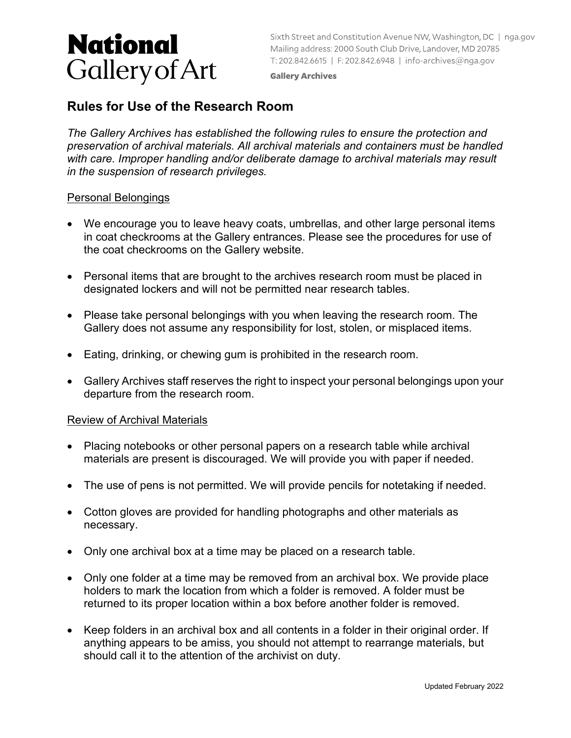# **National Gallery of Art**

Sixth Street and Constitution Avenue NW, Washington, DC | nga.gov Mailing address: 2000 South Club Drive, Landover, MD 20785 T: 202.842.6615 | F: 202.842.6948 | info-archives@nga.gov

**Gallery Archives** 

# **Rules for Use of the Research Room**

*The Gallery Archives has established the following rules to ensure the protection and preservation of archival materials. All archival materials and containers must be handled with care. Improper handling and/or deliberate damage to archival materials may result in the suspension of research privileges.*

#### Personal Belongings

- We encourage you to leave heavy coats, umbrellas, and other large personal items in coat checkrooms at the Gallery entrances. Please see the procedures for use of the coat checkrooms on the Gallery website.
- Personal items that are brought to the archives research room must be placed in designated lockers and will not be permitted near research tables.
- Please take personal belongings with you when leaving the research room. The Gallery does not assume any responsibility for lost, stolen, or misplaced items.
- Eating, drinking, or chewing gum is prohibited in the research room.
- Gallery Archives staff reserves the right to inspect your personal belongings upon your departure from the research room.

## Review of Archival Materials

- Placing notebooks or other personal papers on a research table while archival materials are present is discouraged. We will provide you with paper if needed.
- The use of pens is not permitted. We will provide pencils for notetaking if needed.
- Cotton gloves are provided for handling photographs and other materials as necessary.
- Only one archival box at a time may be placed on a research table.
- Only one folder at a time may be removed from an archival box. We provide place holders to mark the location from which a folder is removed. A folder must be returned to its proper location within a box before another folder is removed.
- Keep folders in an archival box and all contents in a folder in their original order. If anything appears to be amiss, you should not attempt to rearrange materials, but should call it to the attention of the archivist on duty.